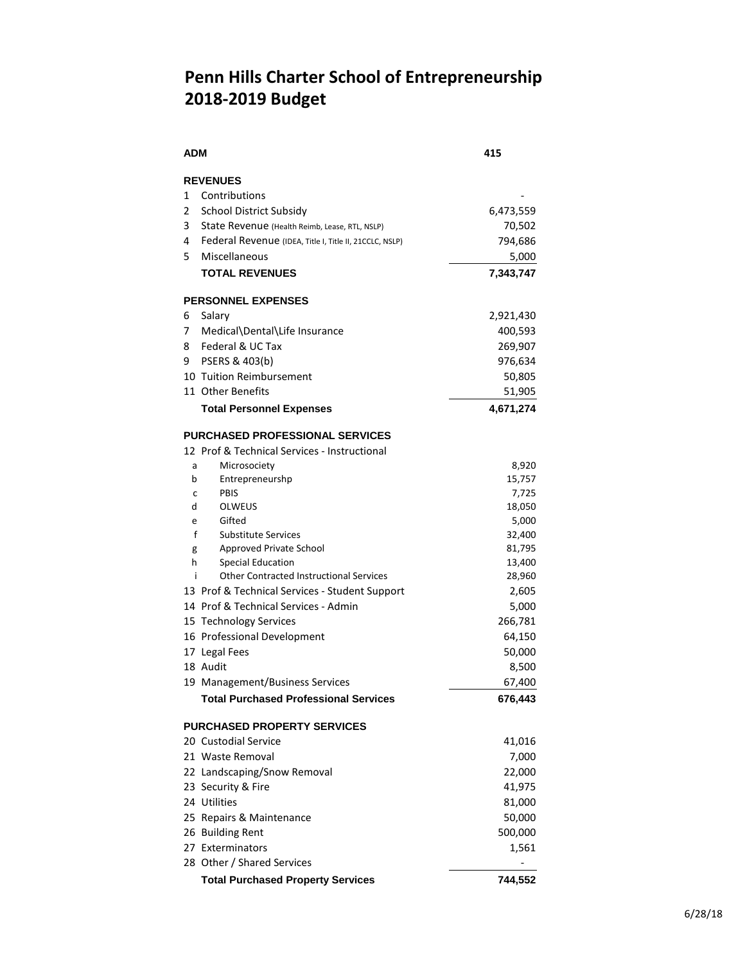## **Penn Hills Charter School of Entrepreneurship 2018-2019 Budget**

| <b>ADM</b>                             |                                                                                        | 415              |  |  |
|----------------------------------------|----------------------------------------------------------------------------------------|------------------|--|--|
|                                        | <b>REVENUES</b>                                                                        |                  |  |  |
| 1                                      | Contributions                                                                          |                  |  |  |
| 2                                      | <b>School District Subsidy</b>                                                         | 6,473,559        |  |  |
| 3                                      | State Revenue (Health Reimb, Lease, RTL, NSLP)                                         | 70,502           |  |  |
| 4                                      | Federal Revenue (IDEA, Title I, Title II, 21CCLC, NSLP)                                | 794,686          |  |  |
| 5.                                     | Miscellaneous                                                                          | 5,000            |  |  |
|                                        | <b>TOTAL REVENUES</b>                                                                  | 7,343,747        |  |  |
| <b>PERSONNEL EXPENSES</b>              |                                                                                        |                  |  |  |
| 6                                      | Salary                                                                                 | 2,921,430        |  |  |
| 7                                      | Medical\Dental\Life Insurance                                                          | 400,593          |  |  |
| 8                                      | Federal & UC Tax                                                                       | 269,907          |  |  |
| 9                                      | PSERS & 403(b)                                                                         | 976,634          |  |  |
|                                        | 10 Tuition Reimbursement                                                               | 50,805           |  |  |
|                                        | 11 Other Benefits                                                                      | 51,905           |  |  |
|                                        | <b>Total Personnel Expenses</b>                                                        | 4,671,274        |  |  |
| <b>PURCHASED PROFESSIONAL SERVICES</b> |                                                                                        |                  |  |  |
|                                        | 12 Prof & Technical Services - Instructional                                           |                  |  |  |
| a                                      | Microsociety                                                                           | 8,920            |  |  |
| b                                      | Entrepreneurshp                                                                        | 15,757           |  |  |
| С                                      | PBIS                                                                                   | 7,725            |  |  |
| d                                      | OLWEUS                                                                                 | 18,050           |  |  |
| e                                      | Gifted                                                                                 | 5,000            |  |  |
| f                                      | <b>Substitute Services</b>                                                             | 32,400           |  |  |
| g                                      | Approved Private School                                                                | 81,795           |  |  |
| h<br>i                                 | <b>Special Education</b><br><b>Other Contracted Instructional Services</b>             | 13,400<br>28,960 |  |  |
|                                        |                                                                                        | 2,605            |  |  |
|                                        | 13 Prof & Technical Services - Student Support<br>14 Prof & Technical Services - Admin |                  |  |  |
|                                        | 15 Technology Services                                                                 | 5,000<br>266,781 |  |  |
|                                        | 16 Professional Development                                                            | 64,150           |  |  |
|                                        | 17 Legal Fees                                                                          | 50,000           |  |  |
|                                        | 18 Audit                                                                               | 8,500            |  |  |
|                                        | 19 Management/Business Services                                                        | 67,400           |  |  |
|                                        | <b>Total Purchased Professional Services</b>                                           | 676,443          |  |  |
|                                        | <b>PURCHASED PROPERTY SERVICES</b>                                                     |                  |  |  |
|                                        | 20 Custodial Service                                                                   | 41,016           |  |  |
|                                        | 21 Waste Removal                                                                       | 7,000            |  |  |
|                                        | 22 Landscaping/Snow Removal                                                            | 22,000           |  |  |
|                                        | 23 Security & Fire                                                                     | 41,975           |  |  |
|                                        | 24 Utilities                                                                           | 81,000           |  |  |
|                                        |                                                                                        |                  |  |  |
|                                        | 25 Repairs & Maintenance                                                               | 50,000           |  |  |
|                                        | 26 Building Rent<br>27 Exterminators                                                   | 500,000          |  |  |
|                                        | 28 Other / Shared Services                                                             | 1,561            |  |  |
|                                        |                                                                                        |                  |  |  |
|                                        | <b>Total Purchased Property Services</b>                                               | 744,552          |  |  |